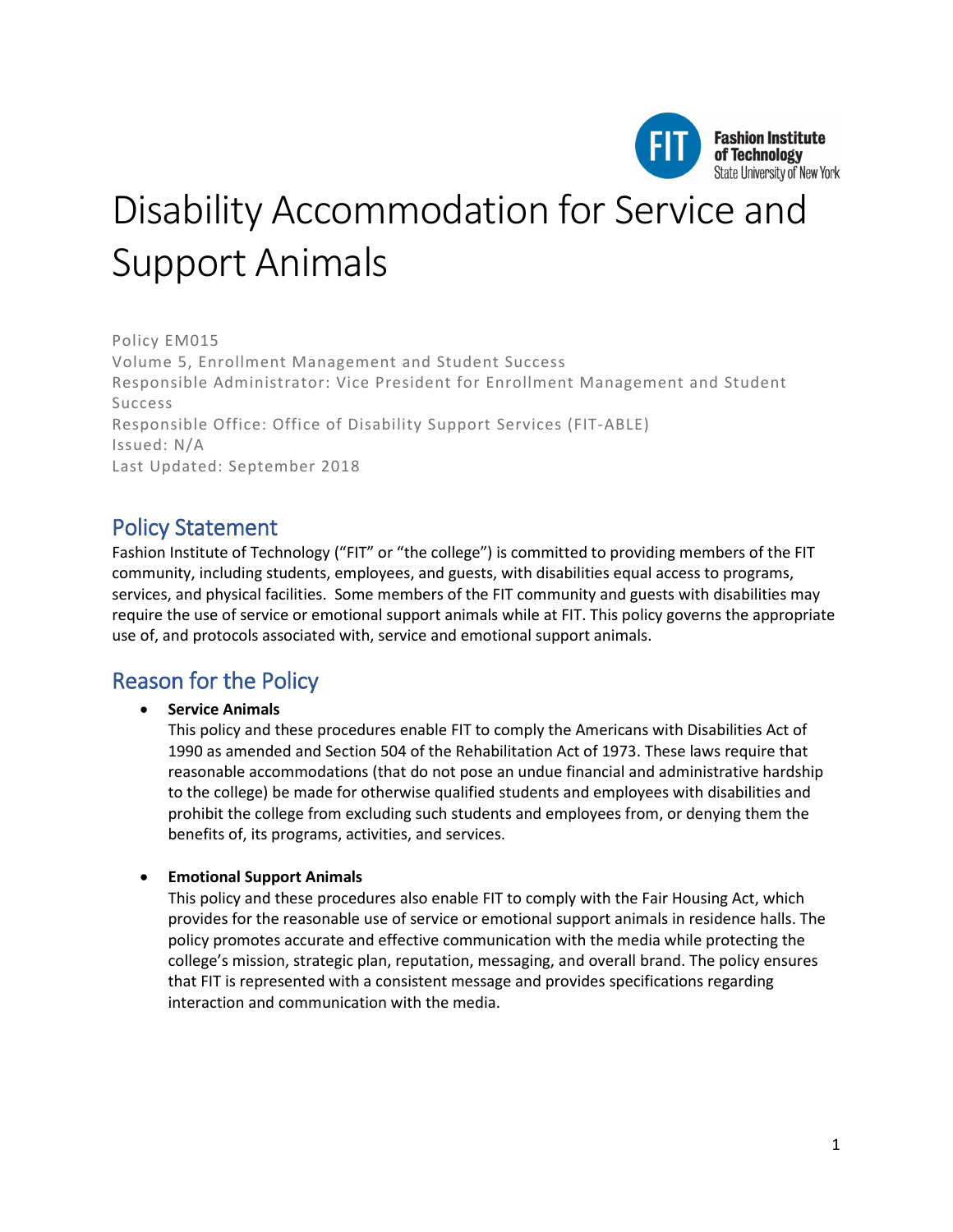

# Disability Accommodation for Service and Support Animals

Policy EM015 Volume 5, Enrollment Management and Student Success Responsible Administrator: Vice President for Enrollment Management and Student Success Responsible Office: Office of Disability Support Services (FIT-ABLE) Issued: N/A Last Updated: September 2018

## Policy Statement

Fashion Institute of Technology ("FIT" or "the college") is committed to providing members of the FIT community, including students, employees, and guests, with disabilities equal access to programs, services, and physical facilities. Some members of the FIT community and guests with disabilities may require the use of service or emotional support animals while at FIT. This policy governs the appropriate use of, and protocols associated with, service and emotional support animals.

# Reason for the Policy

### • **Service Animals**

This policy and these procedures enable FIT to comply the Americans with Disabilities Act of 1990 as amended and Section 504 of the Rehabilitation Act of 1973. These laws require that reasonable accommodations (that do not pose an undue financial and administrative hardship to the college) be made for otherwise qualified students and employees with disabilities and prohibit the college from excluding such students and employees from, or denying them the benefits of, its programs, activities, and services.

#### • **Emotional Support Animals**

This policy and these procedures also enable FIT to comply with the Fair Housing Act, which provides for the reasonable use of service or emotional support animals in residence halls. The policy promotes accurate and effective communication with the media while protecting the college's mission, strategic plan, reputation, messaging, and overall brand. The policy ensures that FIT is represented with a consistent message and provides specifications regarding interaction and communication with the media.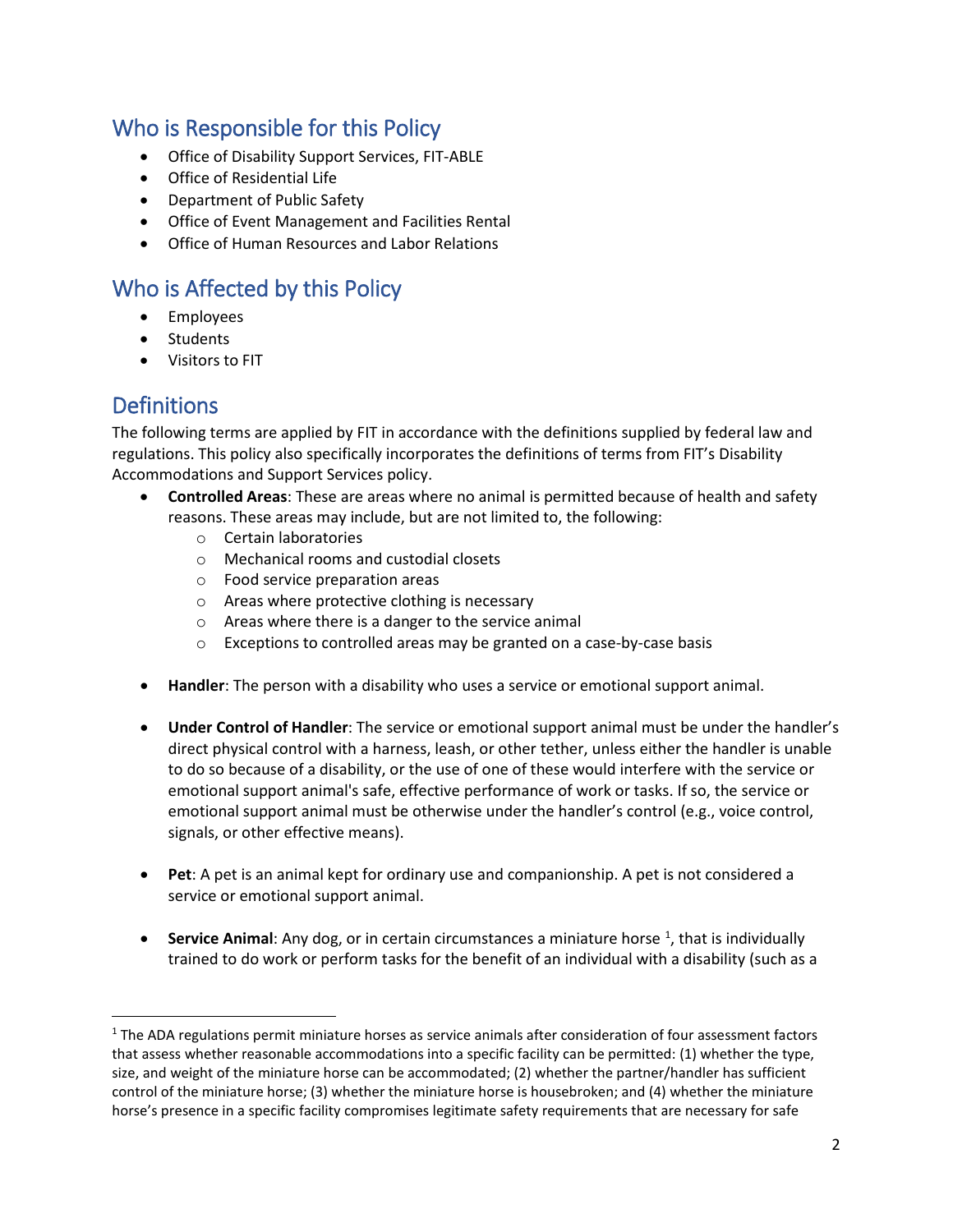# Who is Responsible for this Policy

- Office of Disability Support Services, FIT-ABLE
- Office of Residential Life
- Department of Public Safety
- Office of Event Management and Facilities Rental
- Office of Human Resources and Labor Relations

# Who is Affected by this Policy

- Employees
- Students
- Visitors to FIT

# Definitions

The following terms are applied by FIT in accordance with the definitions supplied by federal law and regulations. This policy also specifically incorporates the definitions of terms from FIT's Disability Accommodations and Support Services policy.

- **Controlled Areas**: These are areas where no animal is permitted because of health and safety reasons. These areas may include, but are not limited to, the following:
	- o Certain laboratories
	- o Mechanical rooms and custodial closets
	- o Food service preparation areas
	- o Areas where protective clothing is necessary
	- o Areas where there is a danger to the service animal
	- o Exceptions to controlled areas may be granted on a case-by-case basis
- **Handler**: The person with a disability who uses a service or emotional support animal.
- **Under Control of Handler**: The service or emotional support animal must be under the handler's direct physical control with a harness, leash, or other tether, unless either the handler is unable to do so because of a disability, or the use of one of these would interfere with the service or emotional support animal's safe, effective performance of work or tasks. If so, the service or emotional support animal must be otherwise under the handler's control (e.g., voice control, signals, or other effective means).
- **Pet**: A pet is an animal kept for ordinary use and companionship. A pet is not considered a service or emotional support animal.
- **Service Animal**: Any dog, or in certain circumstances a miniature horse <sup>1</sup>, that is individually trained to do work or perform tasks for the benefit of an individual with a disability (such as a

<span id="page-1-0"></span> $1$  The ADA regulations permit miniature horses as service animals after consideration of four assessment factors that assess whether reasonable accommodations into a specific facility can be permitted: (1) whether the type, size, and weight of the miniature horse can be accommodated; (2) whether the partner/handler has sufficient control of the miniature horse; (3) whether the miniature horse is housebroken; and (4) whether the miniature horse's presence in a specific facility compromises legitimate safety requirements that are necessary for safe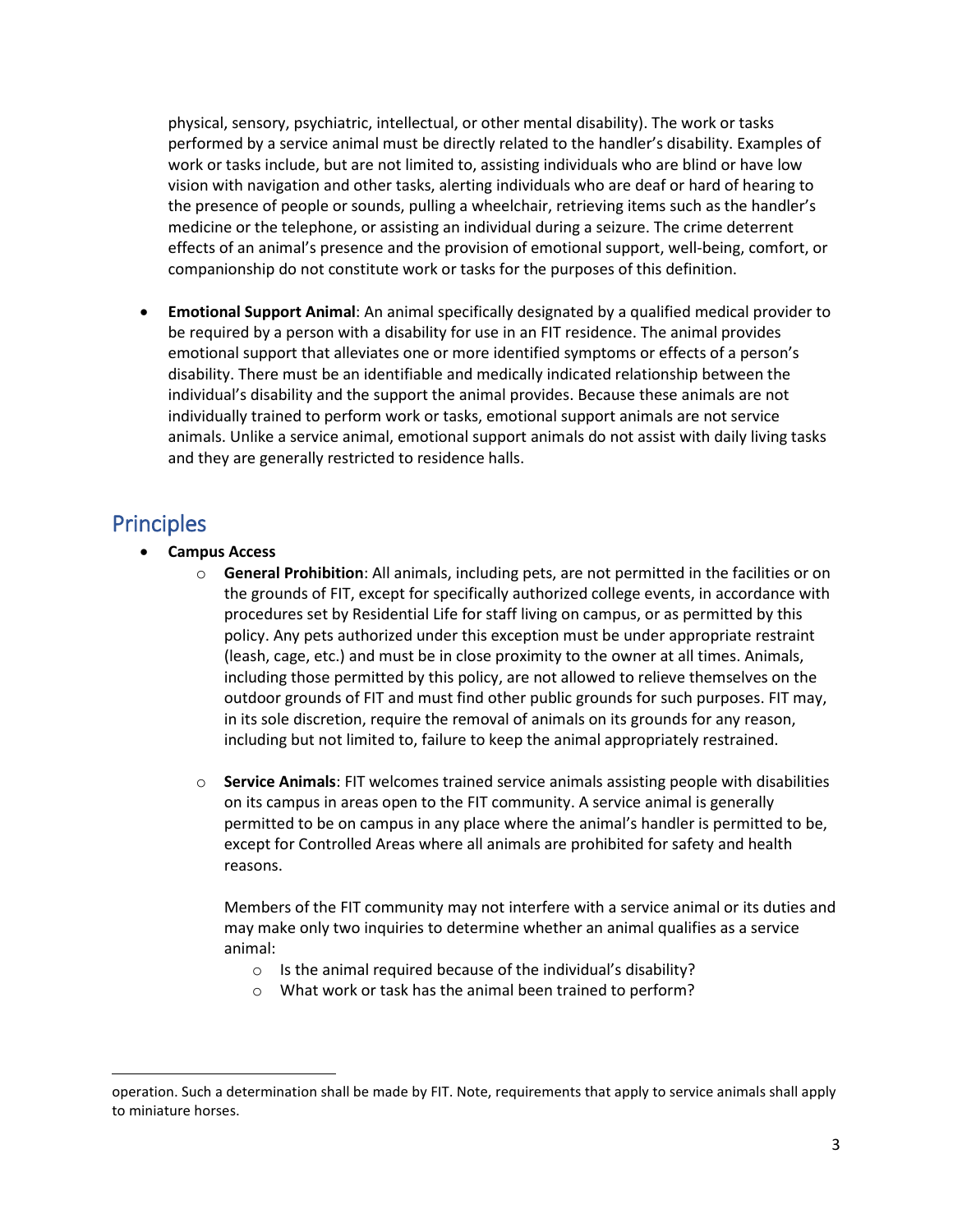physical, sensory, psychiatric, intellectual, or other mental disability). The work or tasks performed by a service animal must be directly related to the handler's disability. Examples of work or tasks include, but are not limited to, assisting individuals who are blind or have low vision with navigation and other tasks, alerting individuals who are deaf or hard of hearing to the presence of people or sounds, pulling a wheelchair, retrieving items such as the handler's medicine or the telephone, or assisting an individual during a seizure. The crime deterrent effects of an animal's presence and the provision of emotional support, well-being, comfort, or companionship do not constitute work or tasks for the purposes of this definition.

• **Emotional Support Animal**: An animal specifically designated by a qualified medical provider to be required by a person with a disability for use in an FIT residence. The animal provides emotional support that alleviates one or more identified symptoms or effects of a person's disability. There must be an identifiable and medically indicated relationship between the individual's disability and the support the animal provides. Because these animals are not individually trained to perform work or tasks, emotional support animals are not service animals. Unlike a service animal, emotional support animals do not assist with daily living tasks and they are generally restricted to residence halls.

# **Principles**

l

- **Campus Access**
	- o **General Prohibition**: All animals, including pets, are not permitted in the facilities or on the grounds of FIT, except for specifically authorized college events, in accordance with procedures set by Residential Life for staff living on campus, or as permitted by this policy. Any pets authorized under this exception must be under appropriate restraint (leash, cage, etc.) and must be in close proximity to the owner at all times. Animals, including those permitted by this policy, are not allowed to relieve themselves on the outdoor grounds of FIT and must find other public grounds for such purposes. FIT may, in its sole discretion, require the removal of animals on its grounds for any reason, including but not limited to, failure to keep the animal appropriately restrained.
	- o **Service Animals**: FIT welcomes trained service animals assisting people with disabilities on its campus in areas open to the FIT community. A service animal is generally permitted to be on campus in any place where the animal's handler is permitted to be, except for Controlled Areas where all animals are prohibited for safety and health reasons.

Members of the FIT community may not interfere with a service animal or its duties and may make only two inquiries to determine whether an animal qualifies as a service animal:

- o Is the animal required because of the individual's disability?
- o What work or task has the animal been trained to perform?

operation. Such a determination shall be made by FIT. Note, requirements that apply to service animals shall apply to miniature horses.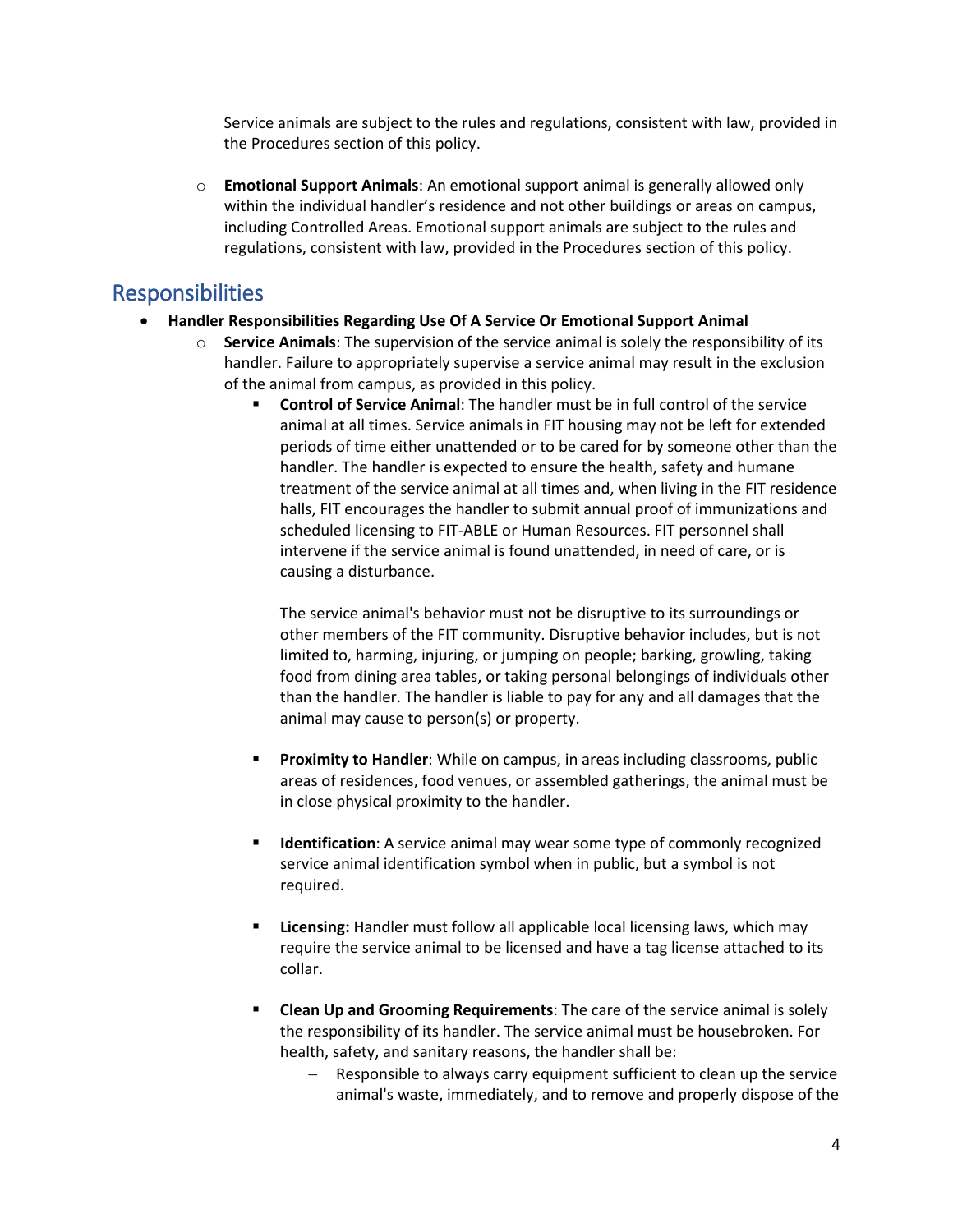Service animals are subject to the rules and regulations, consistent with law, provided in the Procedures section of this policy.

o **Emotional Support Animals**: An emotional support animal is generally allowed only within the individual handler's residence and not other buildings or areas on campus, including Controlled Areas. Emotional support animals are subject to the rules and regulations, consistent with law, provided in the Procedures section of this policy.

## Responsibilities

- **Handler Responsibilities Regarding Use Of A Service Or Emotional Support Animal**
	- o **Service Animals**: The supervision of the service animal is solely the responsibility of its handler. Failure to appropriately supervise a service animal may result in the exclusion of the animal from campus, as provided in this policy.
		- **Control of Service Animal**: The handler must be in full control of the service animal at all times. Service animals in FIT housing may not be left for extended periods of time either unattended or to be cared for by someone other than the handler. The handler is expected to ensure the health, safety and humane treatment of the service animal at all times and, when living in the FIT residence halls, FIT encourages the handler to submit annual proof of immunizations and scheduled licensing to FIT-ABLE or Human Resources. FIT personnel shall intervene if the service animal is found unattended, in need of care, or is causing a disturbance.

The service animal's behavior must not be disruptive to its surroundings or other members of the FIT community. Disruptive behavior includes, but is not limited to, harming, injuring, or jumping on people; barking, growling, taking food from dining area tables, or taking personal belongings of individuals other than the handler. The handler is liable to pay for any and all damages that the animal may cause to person(s) or property.

- **Proximity to Handler**: While on campus, in areas including classrooms, public areas of residences, food venues, or assembled gatherings, the animal must be in close physical proximity to the handler.
- **Identification**: A service animal may wear some type of commonly recognized service animal identification symbol when in public, but a symbol is not required.
- **Licensing:** Handler must follow all applicable local licensing laws, which may require the service animal to be licensed and have a tag license attached to its collar.
- **Clean Up and Grooming Requirements**: The care of the service animal is solely the responsibility of its handler. The service animal must be housebroken. For health, safety, and sanitary reasons, the handler shall be:
	- − Responsible to always carry equipment sufficient to clean up the service animal's waste, immediately, and to remove and properly dispose of the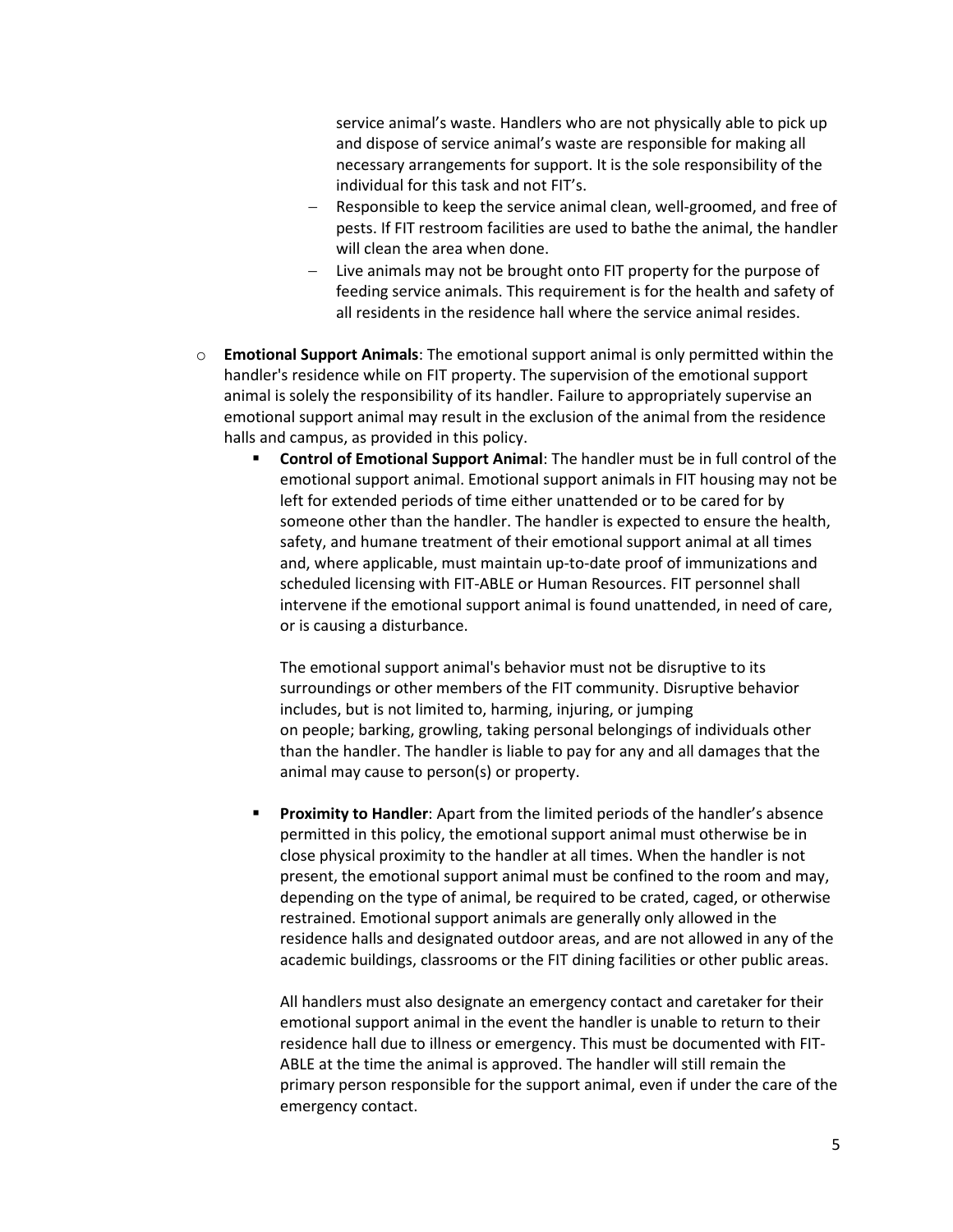service animal's waste. Handlers who are not physically able to pick up and dispose of service animal's waste are responsible for making all necessary arrangements for support. It is the sole responsibility of the individual for this task and not FIT's.

- − Responsible to keep the service animal clean, well-groomed, and free of pests. If FIT restroom facilities are used to bathe the animal, the handler will clean the area when done.
- − Live animals may not be brought onto FIT property for the purpose of feeding service animals. This requirement is for the health and safety of all residents in the residence hall where the service animal resides.
- o **Emotional Support Animals**: The emotional support animal is only permitted within the handler's residence while on FIT property. The supervision of the emotional support animal is solely the responsibility of its handler. Failure to appropriately supervise an emotional support animal may result in the exclusion of the animal from the residence halls and campus, as provided in this policy.
	- **Control of Emotional Support Animal**: The handler must be in full control of the emotional support animal. Emotional support animals in FIT housing may not be left for extended periods of time either unattended or to be cared for by someone other than the handler. The handler is expected to ensure the health, safety, and humane treatment of their emotional support animal at all times and, where applicable, must maintain up-to-date proof of immunizations and scheduled licensing with FIT-ABLE or Human Resources. FIT personnel shall intervene if the emotional support animal is found unattended, in need of care, or is causing a disturbance.

The emotional support animal's behavior must not be disruptive to its surroundings or other members of the FIT community. Disruptive behavior includes, but is not limited to, harming, injuring, or jumping on people; barking, growling, taking personal belongings of individuals other than the handler. The handler is liable to pay for any and all damages that the animal may cause to person(s) or property.

 **Proximity to Handler**: Apart from the limited periods of the handler's absence permitted in this policy, the emotional support animal must otherwise be in close physical proximity to the handler at all times. When the handler is not present, the emotional support animal must be confined to the room and may, depending on the type of animal, be required to be crated, caged, or otherwise restrained. Emotional support animals are generally only allowed in the residence halls and designated outdoor areas, and are not allowed in any of the academic buildings, classrooms or the FIT dining facilities or other public areas.

All handlers must also designate an emergency contact and caretaker for their emotional support animal in the event the handler is unable to return to their residence hall due to illness or emergency. This must be documented with FIT-ABLE at the time the animal is approved. The handler will still remain the primary person responsible for the support animal, even if under the care of the emergency contact.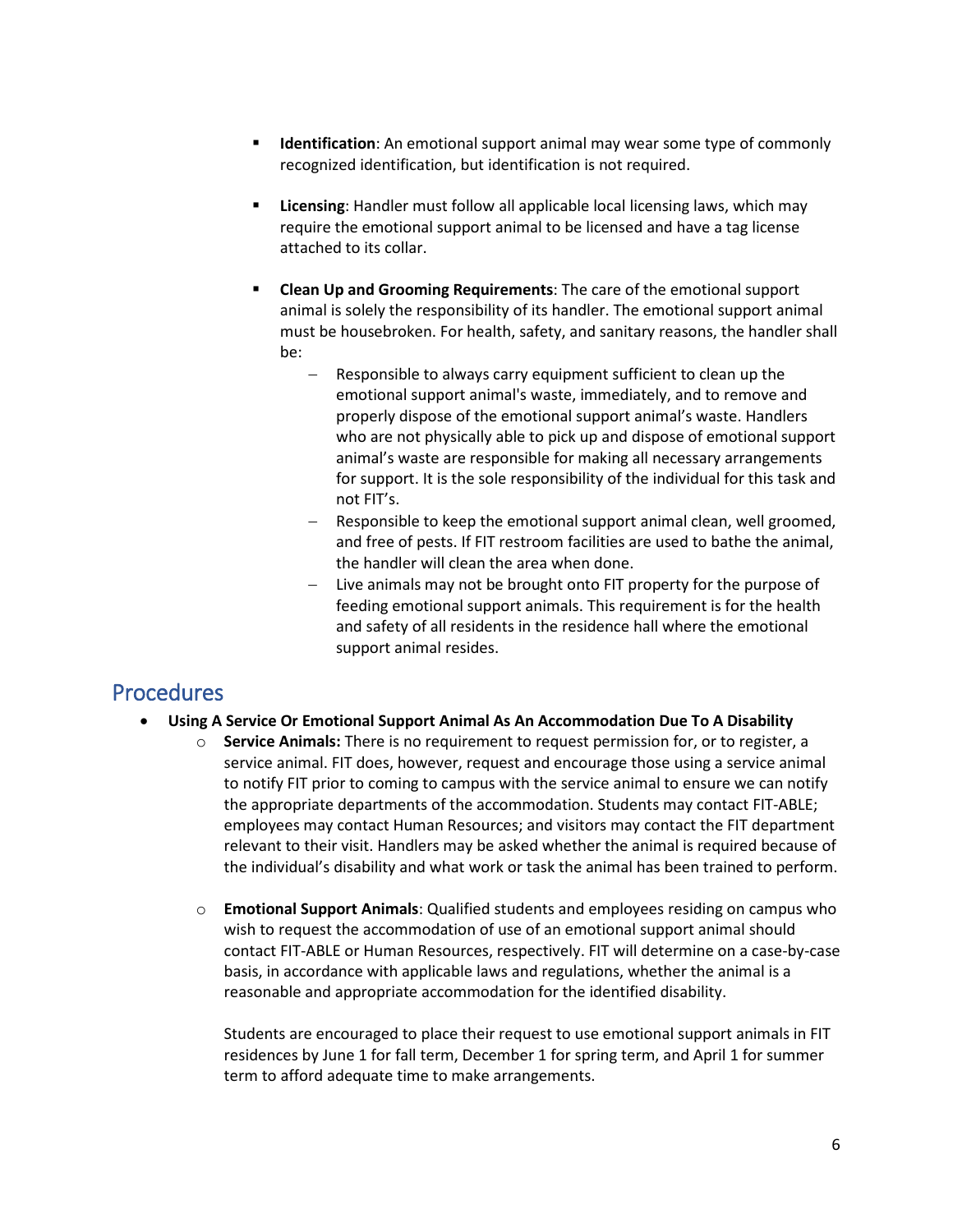- **Identification**: An emotional support animal may wear some type of commonly recognized identification, but identification is not required.
- **Licensing**: Handler must follow all applicable local licensing laws, which may require the emotional support animal to be licensed and have a tag license attached to its collar.
- **Clean Up and Grooming Requirements**: The care of the emotional support animal is solely the responsibility of its handler. The emotional support animal must be housebroken. For health, safety, and sanitary reasons, the handler shall be:
	- Responsible to always carry equipment sufficient to clean up the emotional support animal's waste, immediately, and to remove and properly dispose of the emotional support animal's waste. Handlers who are not physically able to pick up and dispose of emotional support animal's waste are responsible for making all necessary arrangements for support. It is the sole responsibility of the individual for this task and not FIT's.
	- Responsible to keep the emotional support animal clean, well groomed, and free of pests. If FIT restroom facilities are used to bathe the animal, the handler will clean the area when done.
	- − Live animals may not be brought onto FIT property for the purpose of feeding emotional support animals. This requirement is for the health and safety of all residents in the residence hall where the emotional support animal resides.

## **Procedures**

- **Using A Service Or Emotional Support Animal As An Accommodation Due To A Disability** 
	- o **Service Animals:** There is no requirement to request permission for, or to register, a service animal. FIT does, however, request and encourage those using a service animal to notify FIT prior to coming to campus with the service animal to ensure we can notify the appropriate departments of the accommodation. Students may contact FIT-ABLE; employees may contact Human Resources; and visitors may contact the FIT department relevant to their visit. Handlers may be asked whether the animal is required because of the individual's disability and what work or task the animal has been trained to perform.
	- o **Emotional Support Animals**: Qualified students and employees residing on campus who wish to request the accommodation of use of an emotional support animal should contact FIT-ABLE or Human Resources, respectively. FIT will determine on a case-by-case basis, in accordance with applicable laws and regulations, whether the animal is a reasonable and appropriate accommodation for the identified disability.

Students are encouraged to place their request to use emotional support animals in FIT residences by June 1 for fall term, December 1 for spring term, and April 1 for summer term to afford adequate time to make arrangements.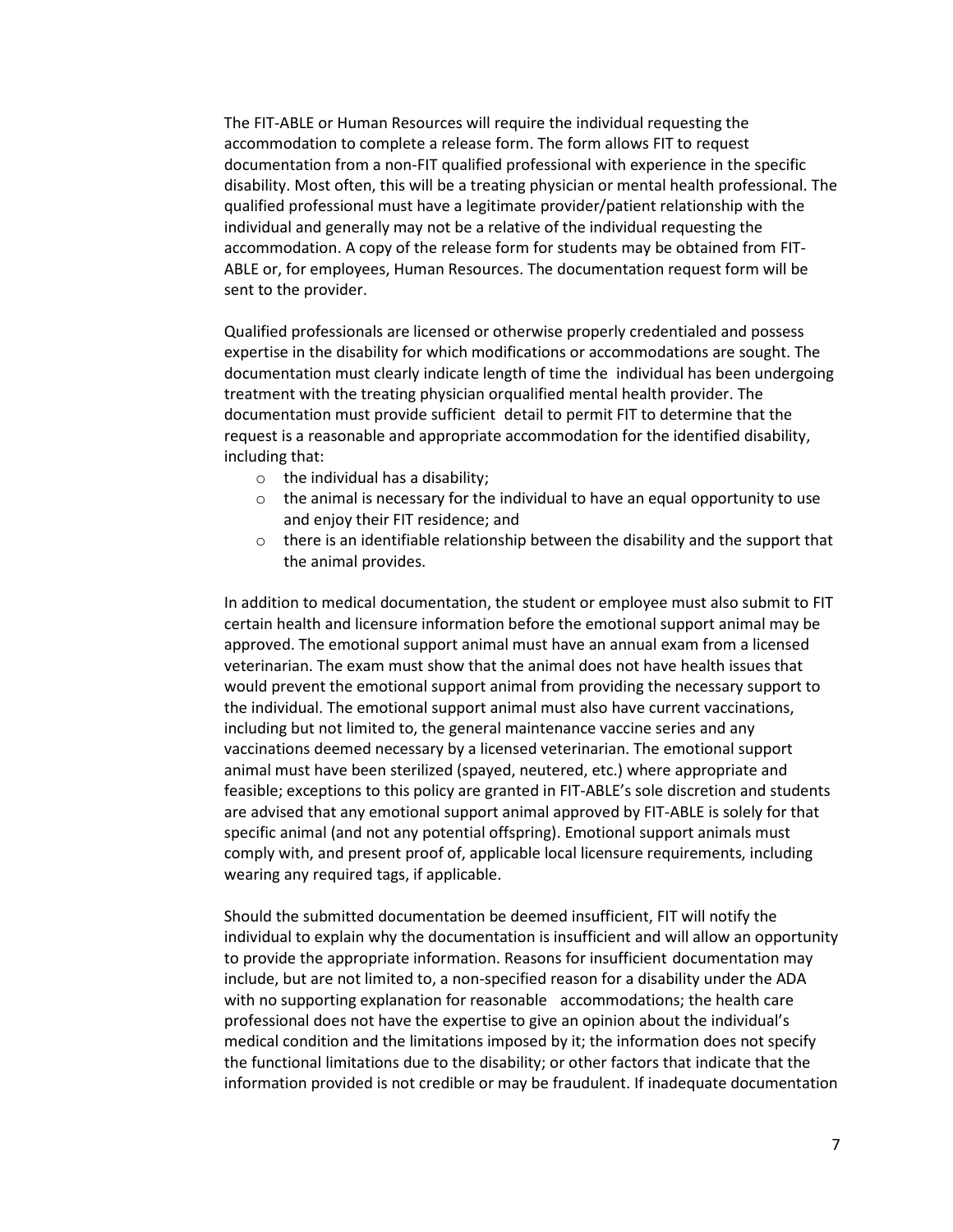The FIT-ABLE or Human Resources will require the individual requesting the accommodation to complete a release form. The form allows FIT to request documentation from a non-FIT qualified professional with experience in the specific disability. Most often, this will be a treating physician or mental health professional. The qualified professional must have a legitimate provider/patient relationship with the individual and generally may not be a relative of the individual requesting the accommodation. A copy of the release form for students may be obtained from FIT-ABLE or, for employees, Human Resources. The documentation request form will be sent to the provider.

Qualified professionals are licensed or otherwise properly credentialed and possess expertise in the disability for which modifications or accommodations are sought. The documentation must clearly indicate length of time the individual has been undergoing treatment with the treating physician orqualified mental health provider. The documentation must provide sufficient detail to permit FIT to determine that the request is a reasonable and appropriate accommodation for the identified disability, including that:

- o the individual has a disability;
- $\circ$  the animal is necessary for the individual to have an equal opportunity to use and enjoy their FIT residence; and
- $\circ$  there is an identifiable relationship between the disability and the support that the animal provides.

In addition to medical documentation, the student or employee must also submit to FIT certain health and licensure information before the emotional support animal may be approved. The emotional support animal must have an annual exam from a licensed veterinarian. The exam must show that the animal does not have health issues that would prevent the emotional support animal from providing the necessary support to the individual. The emotional support animal must also have current vaccinations, including but not limited to, the general maintenance vaccine series and any vaccinations deemed necessary by a licensed veterinarian. The emotional support animal must have been sterilized (spayed, neutered, etc.) where appropriate and feasible; exceptions to this policy are granted in FIT-ABLE's sole discretion and students are advised that any emotional support animal approved by FIT-ABLE is solely for that specific animal (and not any potential offspring). Emotional support animals must comply with, and present proof of, applicable local licensure requirements, including wearing any required tags, if applicable.

Should the submitted documentation be deemed insufficient, FIT will notify the individual to explain why the documentation is insufficient and will allow an opportunity to provide the appropriate information. Reasons for insufficient documentation may include, but are not limited to, a non-specified reason for a disability under the ADA with no supporting explanation for reasonable accommodations; the health care professional does not have the expertise to give an opinion about the individual's medical condition and the limitations imposed by it; the information does not specify the functional limitations due to the disability; or other factors that indicate that the information provided is not credible or may be fraudulent. If inadequate documentation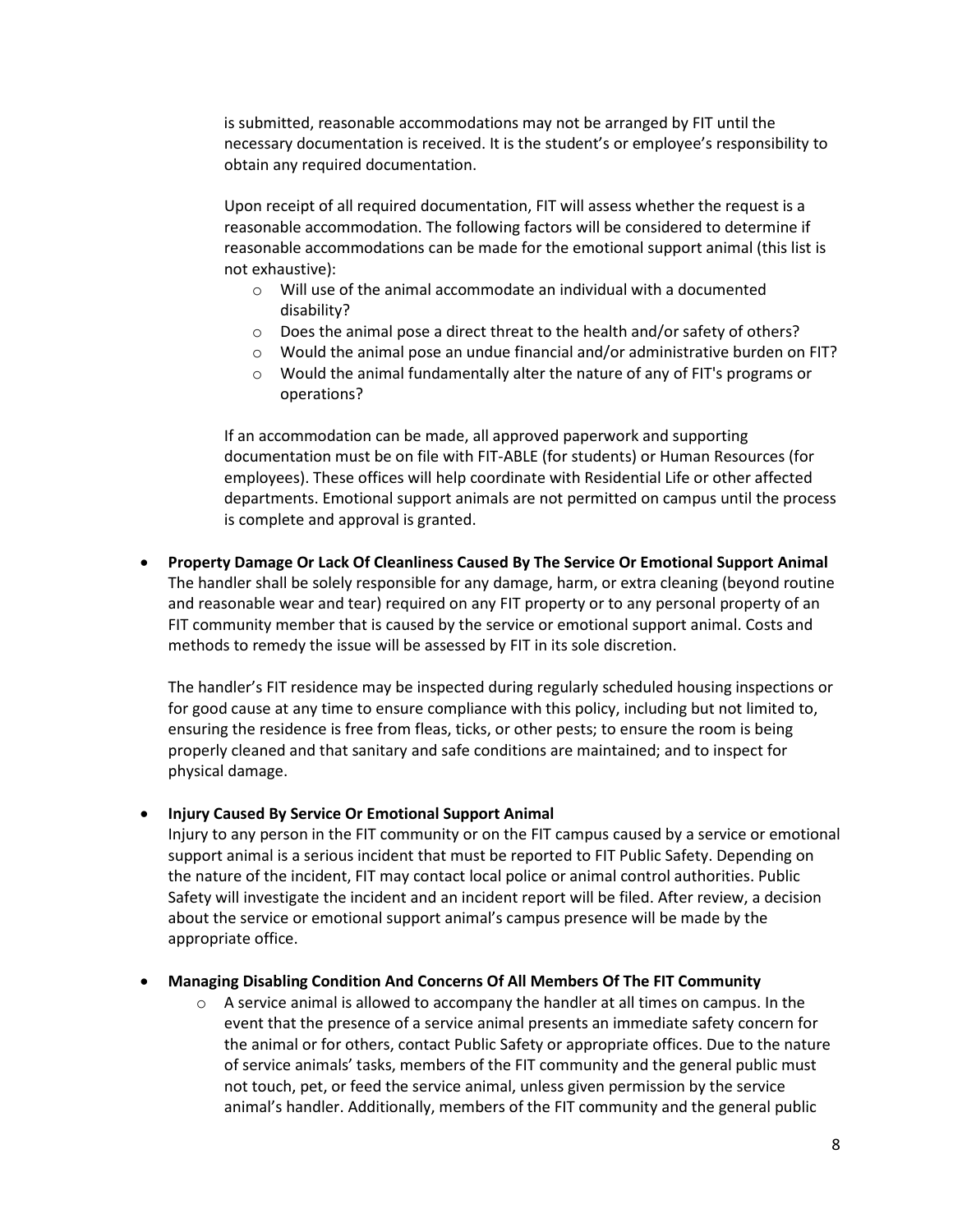is submitted, reasonable accommodations may not be arranged by FIT until the necessary documentation is received. It is the student's or employee's responsibility to obtain any required documentation.

Upon receipt of all required documentation, FIT will assess whether the request is a reasonable accommodation. The following factors will be considered to determine if reasonable accommodations can be made for the emotional support animal (this list is not exhaustive):

- o Will use of the animal accommodate an individual with a documented disability?
- o Does the animal pose a direct threat to the health and/or safety of others?
- o Would the animal pose an undue financial and/or administrative burden on FIT?
- o Would the animal fundamentally alter the nature of any of FIT's programs or operations?

If an accommodation can be made, all approved paperwork and supporting documentation must be on file with FIT-ABLE (for students) or Human Resources (for employees). These offices will help coordinate with Residential Life or other affected departments. Emotional support animals are not permitted on campus until the process is complete and approval is granted.

• **Property Damage Or Lack Of Cleanliness Caused By The Service Or Emotional Support Animal**  The handler shall be solely responsible for any damage, harm, or extra cleaning (beyond routine and reasonable wear and tear) required on any FIT property or to any personal property of an FIT community member that is caused by the service or emotional support animal. Costs and methods to remedy the issue will be assessed by FIT in its sole discretion.

The handler's FIT residence may be inspected during regularly scheduled housing inspections or for good cause at any time to ensure compliance with this policy, including but not limited to, ensuring the residence is free from fleas, ticks, or other pests; to ensure the room is being properly cleaned and that sanitary and safe conditions are maintained; and to inspect for physical damage.

#### • **Injury Caused By Service Or Emotional Support Animal**

Injury to any person in the FIT community or on the FIT campus caused by a service or emotional support animal is a serious incident that must be reported to FIT Public Safety. Depending on the nature of the incident, FIT may contact local police or animal control authorities. Public Safety will investigate the incident and an incident report will be filed. After review, a decision about the service or emotional support animal's campus presence will be made by the appropriate office.

#### • **Managing Disabling Condition And Concerns Of All Members Of The FIT Community**

 $\circ$  A service animal is allowed to accompany the handler at all times on campus. In the event that the presence of a service animal presents an immediate safety concern for the animal or for others, contact Public Safety or appropriate offices. Due to the nature of service animals' tasks, members of the FIT community and the general public must not touch, pet, or feed the service animal, unless given permission by the service animal's handler. Additionally, members of the FIT community and the general public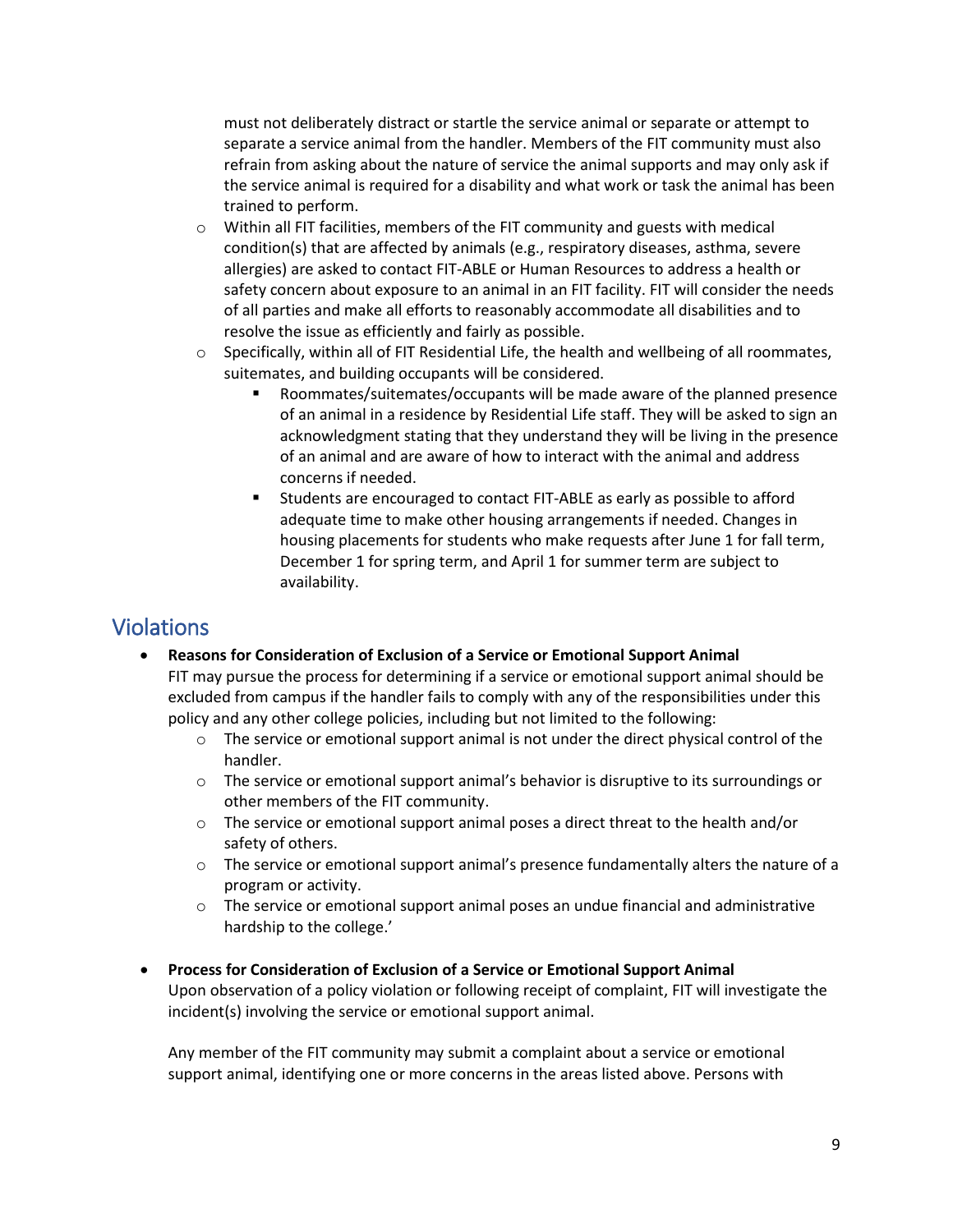must not deliberately distract or startle the service animal or separate or attempt to separate a service animal from the handler. Members of the FIT community must also refrain from asking about the nature of service the animal supports and may only ask if the service animal is required for a disability and what work or task the animal has been trained to perform.

- $\circ$  Within all FIT facilities, members of the FIT community and guests with medical condition(s) that are affected by animals (e.g., respiratory diseases, asthma, severe allergies) are asked to contact FIT-ABLE or Human Resources to address a health or safety concern about exposure to an animal in an FIT facility. FIT will consider the needs of all parties and make all efforts to reasonably accommodate all disabilities and to resolve the issue as efficiently and fairly as possible.
- $\circ$  Specifically, within all of FIT Residential Life, the health and wellbeing of all roommates, suitemates, and building occupants will be considered.
	- Roommates/suitemates/occupants will be made aware of the planned presence of an animal in a residence by Residential Life staff. They will be asked to sign an acknowledgment stating that they understand they will be living in the presence of an animal and are aware of how to interact with the animal and address concerns if needed.
	- Students are encouraged to contact FIT-ABLE as early as possible to afford adequate time to make other housing arrangements if needed. Changes in housing placements for students who make requests after June 1 for fall term, December 1 for spring term, and April 1 for summer term are subject to availability.

# Violations

- **Reasons for Consideration of Exclusion of a Service or Emotional Support Animal** FIT may pursue the process for determining if a service or emotional support animal should be excluded from campus if the handler fails to comply with any of the responsibilities under this policy and any other college policies, including but not limited to the following:
	- $\circ$  The service or emotional support animal is not under the direct physical control of the handler.
	- $\circ$  The service or emotional support animal's behavior is disruptive to its surroundings or other members of the FIT community.
	- $\circ$  The service or emotional support animal poses a direct threat to the health and/or safety of others.
	- $\circ$  The service or emotional support animal's presence fundamentally alters the nature of a program or activity.
	- $\circ$  The service or emotional support animal poses an undue financial and administrative hardship to the college.'
- **Process for Consideration of Exclusion of a Service or Emotional Support Animal** Upon observation of a policy violation or following receipt of complaint, FIT will investigate the incident(s) involving the service or emotional support animal.

Any member of the FIT community may submit a complaint about a service or emotional support animal, identifying one or more concerns in the areas listed above. Persons with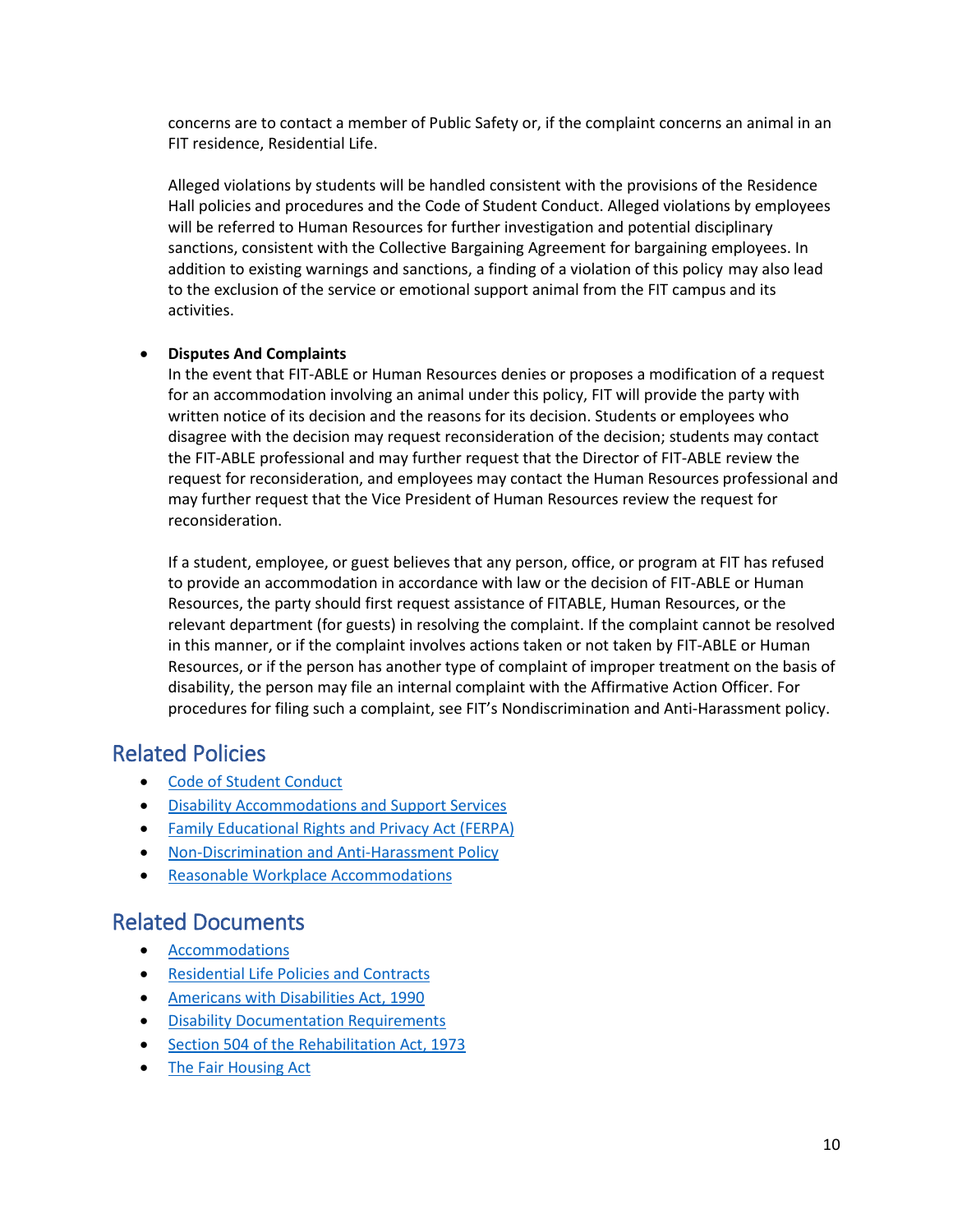concerns are to contact a member of Public Safety or, if the complaint concerns an animal in an FIT residence, Residential Life.

Alleged violations by students will be handled consistent with the provisions of the Residence Hall policies and procedures and the Code of Student Conduct. Alleged violations by employees will be referred to Human Resources for further investigation and potential disciplinary sanctions, consistent with the Collective Bargaining Agreement for bargaining employees. In addition to existing warnings and sanctions, a finding of a violation of this policy may also lead to the exclusion of the service or emotional support animal from the FIT campus and its activities.

#### • **Disputes And Complaints**

In the event that FIT-ABLE or Human Resources denies or proposes a modification of a request for an accommodation involving an animal under this policy, FIT will provide the party with written notice of its decision and the reasons for its decision. Students or employees who disagree with the decision may request reconsideration of the decision; students may contact the FIT-ABLE professional and may further request that the Director of FIT-ABLE review the request for reconsideration, and employees may contact the Human Resources professional and may further request that the Vice President of Human Resources review the request for reconsideration.

If a student, employee, or guest believes that any person, office, or program at FIT has refused to provide an accommodation in accordance with law or the decision of FIT-ABLE or Human Resources, the party should first request assistance of FITABLE, Human Resources, or the relevant department (for guests) in resolving the complaint. If the complaint cannot be resolved in this manner, or if the complaint involves actions taken or not taken by FIT-ABLE or Human Resources, or if the person has another type of complaint of improper treatment on the basis of disability, the person may file an internal complaint with the Affirmative Action Officer. For procedures for filing such a complaint, see FIT's Nondiscrimination and Anti-Harassment policy.

# Related Policies

- [Code of Student Conduct](http://www.fitnyc.edu/policies/enrollment-management/code-of-conduct.php)
- [Disability Accommodations and Support Services](http://www.fitnyc.edu/policies/enrollment-management/disability-accommodations.php)
- [Family Educational Rights and Privacy Act \(FERPA\)](http://www.fitnyc.edu/policies/enrollment-management/ferpa.php)
- [Non-Discrimination and Anti-Harassment Policy](http://www.fitnyc.edu/policies/college/nondiscrimination.php)
- **[Reasonable Workplace Accommodations](https://www.fitnyc.edu/policies/hr/reasonable_workplace_accommodations.php)**

## Related Documents

- [Accommodations](http://www.fitnyc.edu/fitable/accommodations/index.php)
- [Residential Life Policies and Contracts](https://www.fitnyc.edu/residential-life/policies/index.php)
- [Americans with Disabilities Act, 1990](https://www.eeoc.gov/eeoc/history/35th/1990s/ada.html)
- [Disability Documentation Requirements](http://www.fitnyc.edu/fitable/documentation/index.php)
- [Section 504 of the Rehabilitation Act, 1973](https://www.dol.gov/oasam/regs/statutes/sec504.htm)
- [The Fair Housing Act](https://www.justice.gov/crt/fair-housing-act-2)